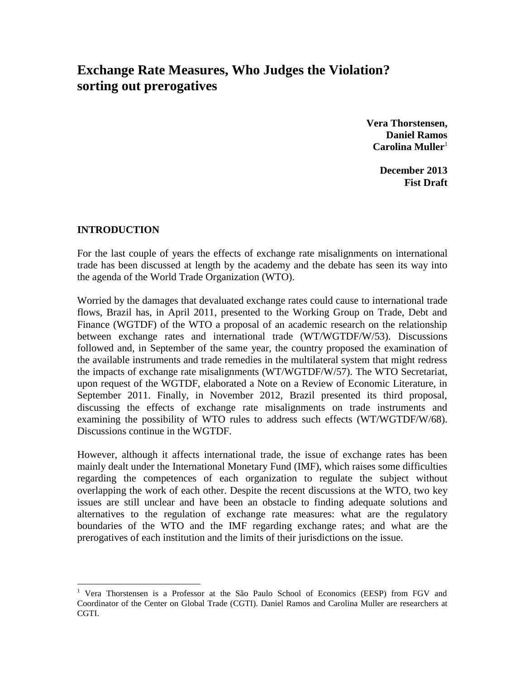# **Exchange Rate Measures, Who Judges the Violation? sorting out prerogatives**

**Vera Thorstensen, Daniel Ramos** Carolina Muller<sup>1</sup>

> **December 2013 Fist Draft**

### **INTRODUCTION**

l

For the last couple of years the effects of exchange rate misalignments on international trade has been discussed at length by the academy and the debate has seen its way into the agenda of the World Trade Organization (WTO).

Worried by the damages that devaluated exchange rates could cause to international trade flows, Brazil has, in April 2011, presented to the Working Group on Trade, Debt and Finance (WGTDF) of the WTO a proposal of an academic research on the relationship between exchange rates and international trade (WT/WGTDF/W/53). Discussions followed and, in September of the same year, the country proposed the examination of the available instruments and trade remedies in the multilateral system that might redress the impacts of exchange rate misalignments (WT/WGTDF/W/57). The WTO Secretariat, upon request of the WGTDF, elaborated a Note on a Review of Economic Literature, in September 2011. Finally, in November 2012, Brazil presented its third proposal, discussing the effects of exchange rate misalignments on trade instruments and examining the possibility of WTO rules to address such effects (WT/WGTDF/W/68). Discussions continue in the WGTDF.

However, although it affects international trade, the issue of exchange rates has been mainly dealt under the International Monetary Fund (IMF), which raises some difficulties regarding the competences of each organization to regulate the subject without overlapping the work of each other. Despite the recent discussions at the WTO, two key issues are still unclear and have been an obstacle to finding adequate solutions and alternatives to the regulation of exchange rate measures: what are the regulatory boundaries of the WTO and the IMF regarding exchange rates; and what are the prerogatives of each institution and the limits of their jurisdictions on the issue.

<sup>&</sup>lt;sup>1</sup> Vera Thorstensen is a Professor at the São Paulo School of Economics (EESP) from FGV and Coordinator of the Center on Global Trade (CGTI). Daniel Ramos and Carolina Muller are researchers at CGTI.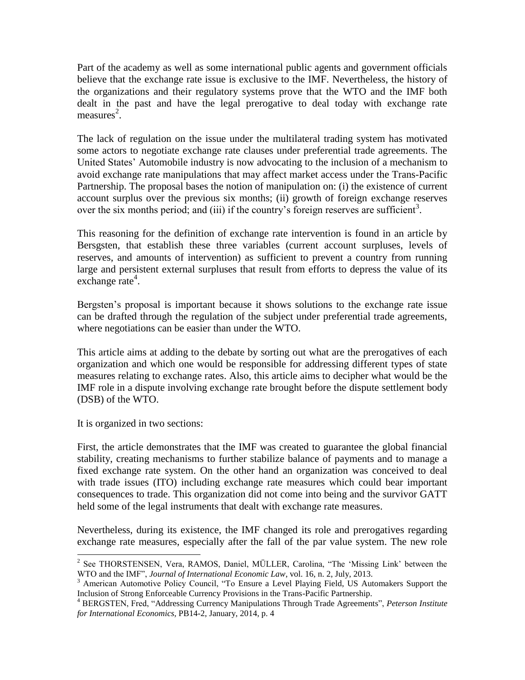Part of the academy as well as some international public agents and government officials believe that the exchange rate issue is exclusive to the IMF. Nevertheless, the history of the organizations and their regulatory systems prove that the WTO and the IMF both dealt in the past and have the legal prerogative to deal today with exchange rate  $measures<sup>2</sup>$ .

The lack of regulation on the issue under the multilateral trading system has motivated some actors to negotiate exchange rate clauses under preferential trade agreements. The United States' Automobile industry is now advocating to the inclusion of a mechanism to avoid exchange rate manipulations that may affect market access under the Trans-Pacific Partnership. The proposal bases the notion of manipulation on: (i) the existence of current account surplus over the previous six months; (ii) growth of foreign exchange reserves over the six months period; and (iii) if the country's foreign reserves are sufficient<sup>3</sup>.

This reasoning for the definition of exchange rate intervention is found in an article by Bersgsten, that establish these three variables (current account surpluses, levels of reserves, and amounts of intervention) as sufficient to prevent a country from running large and persistent external surpluses that result from efforts to depress the value of its  $\epsilon$ xchange rate<sup>4</sup>.

Bergsten's proposal is important because it shows solutions to the exchange rate issue can be drafted through the regulation of the subject under preferential trade agreements, where negotiations can be easier than under the WTO.

This article aims at adding to the debate by sorting out what are the prerogatives of each organization and which one would be responsible for addressing different types of state measures relating to exchange rates. Also, this article aims to decipher what would be the IMF role in a dispute involving exchange rate brought before the dispute settlement body (DSB) of the WTO.

It is organized in two sections:

First, the article demonstrates that the IMF was created to guarantee the global financial stability, creating mechanisms to further stabilize balance of payments and to manage a fixed exchange rate system. On the other hand an organization was conceived to deal with trade issues (ITO) including exchange rate measures which could bear important consequences to trade. This organization did not come into being and the survivor GATT held some of the legal instruments that dealt with exchange rate measures.

Nevertheless, during its existence, the IMF changed its role and prerogatives regarding exchange rate measures, especially after the fall of the par value system. The new role

<sup>&</sup>lt;sup>2</sup> See THORSTENSEN, Vera, RAMOS, Daniel, MÜLLER, Carolina, "The 'Missing Link' between the WTO and the IMF", *Journal of International Economic Law*, vol. 16, n. 2, July, 2013.

<sup>&</sup>lt;sup>3</sup> American Automotive Policy Council, "To Ensure a Level Playing Field, US Automakers Support the Inclusion of Strong Enforceable Currency Provisions in the Trans-Pacific Partnership.

<sup>4</sup> BERGSTEN, Fred, "Addressing Currency Manipulations Through Trade Agreements", *Peterson Institute for International Economics,* PB14-2, January, 2014, p. 4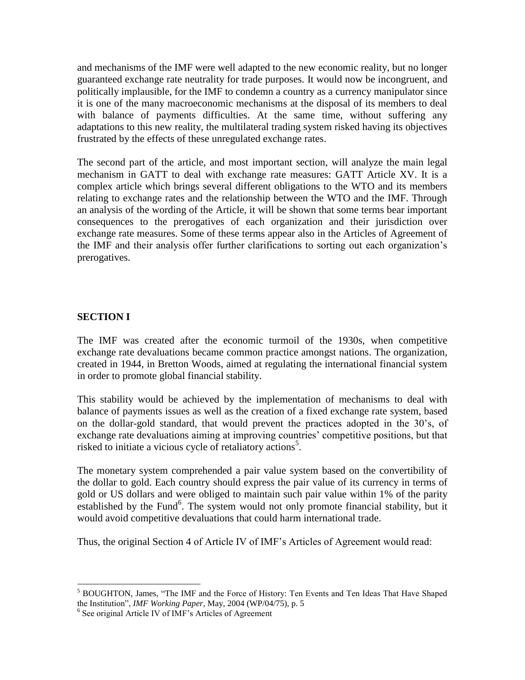and mechanisms of the IMF were well adapted to the new economic reality, but no longer guaranteed exchange rate neutrality for trade purposes. It would now be incongruent, and politically implausible, for the IMF to condemn a country as a currency manipulator since it is one of the many macroeconomic mechanisms at the disposal of its members to deal with balance of payments difficulties. At the same time, without suffering any adaptations to this new reality, the multilateral trading system risked having its objectives frustrated by the effects of these unregulated exchange rates.

The second part of the article, and most important section, will analyze the main legal mechanism in GATT to deal with exchange rate measures: GATT Article XV. It is a complex article which brings several different obligations to the WTO and its members relating to exchange rates and the relationship between the WTO and the IMF. Through an analysis of the wording of the Article, it will be shown that some terms bear important consequences to the prerogatives of each organization and their jurisdiction over exchange rate measures. Some of these terms appear also in the Articles of Agreement of the IMF and their analysis offer further clarifications to sorting out each organization's prerogatives.

## **SECTION I**

l

The IMF was created after the economic turmoil of the 1930s, when competitive exchange rate devaluations became common practice amongst nations. The organization, created in 1944, in Bretton Woods, aimed at regulating the international financial system in order to promote global financial stability.

This stability would be achieved by the implementation of mechanisms to deal with balance of payments issues as well as the creation of a fixed exchange rate system, based on the dollar-gold standard, that would prevent the practices adopted in the 30's, of exchange rate devaluations aiming at improving countries' competitive positions, but that risked to initiate a vicious cycle of retaliatory actions<sup>5</sup>.

The monetary system comprehended a pair value system based on the convertibility of the dollar to gold. Each country should express the pair value of its currency in terms of gold or US dollars and were obliged to maintain such pair value within 1% of the parity established by the Fund<sup>6</sup>. The system would not only promote financial stability, but it would avoid competitive devaluations that could harm international trade.

Thus, the original Section 4 of Article IV of IMF's Articles of Agreement would read:

<sup>5</sup> BOUGHTON, James, "The IMF and the Force of History: Ten Events and Ten Ideas That Have Shaped the Institution", *IMF Working Paper*, May, 2004 (WP/04/75), p. 5

<sup>&</sup>lt;sup>6</sup> See original Article IV of IMF's Articles of Agreement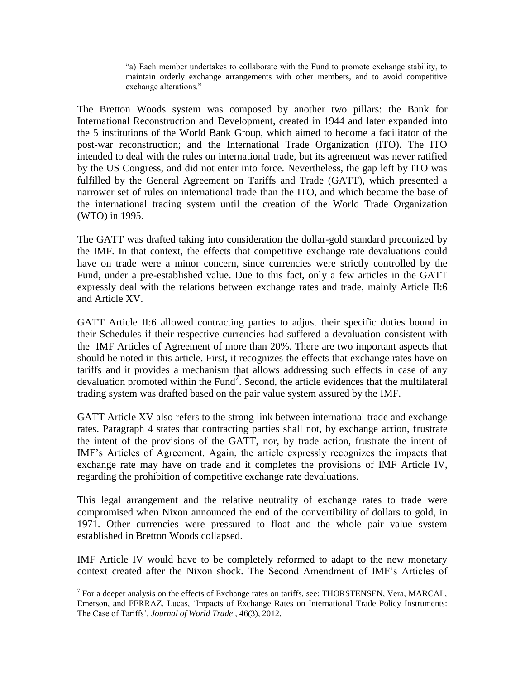"a) Each member undertakes to collaborate with the Fund to promote exchange stability, to maintain orderly exchange arrangements with other members, and to avoid competitive exchange alterations."

The Bretton Woods system was composed by another two pillars: the Bank for International Reconstruction and Development, created in 1944 and later expanded into the 5 institutions of the World Bank Group, which aimed to become a facilitator of the post-war reconstruction; and the International Trade Organization (ITO). The ITO intended to deal with the rules on international trade, but its agreement was never ratified by the US Congress, and did not enter into force. Nevertheless, the gap left by ITO was fulfilled by the General Agreement on Tariffs and Trade (GATT), which presented a narrower set of rules on international trade than the ITO, and which became the base of the international trading system until the creation of the World Trade Organization (WTO) in 1995.

The GATT was drafted taking into consideration the dollar-gold standard preconized by the IMF. In that context, the effects that competitive exchange rate devaluations could have on trade were a minor concern, since currencies were strictly controlled by the Fund, under a pre-established value. Due to this fact, only a few articles in the GATT expressly deal with the relations between exchange rates and trade, mainly Article II:6 and Article XV.

GATT Article II:6 allowed contracting parties to adjust their specific duties bound in their Schedules if their respective currencies had suffered a devaluation consistent with the IMF Articles of Agreement of more than 20%. There are two important aspects that should be noted in this article. First, it recognizes the effects that exchange rates have on tariffs and it provides a mechanism that allows addressing such effects in case of any devaluation promoted within the Fund<sup>7</sup>. Second, the article evidences that the multilateral trading system was drafted based on the pair value system assured by the IMF.

GATT Article XV also refers to the strong link between international trade and exchange rates. Paragraph 4 states that contracting parties shall not, by exchange action, frustrate the intent of the provisions of the GATT, nor, by trade action, frustrate the intent of IMF's Articles of Agreement. Again, the article expressly recognizes the impacts that exchange rate may have on trade and it completes the provisions of IMF Article IV, regarding the prohibition of competitive exchange rate devaluations.

This legal arrangement and the relative neutrality of exchange rates to trade were compromised when Nixon announced the end of the convertibility of dollars to gold, in 1971. Other currencies were pressured to float and the whole pair value system established in Bretton Woods collapsed.

IMF Article IV would have to be completely reformed to adapt to the new monetary context created after the Nixon shock. The Second Amendment of IMF's Articles of

l

 $<sup>7</sup>$  For a deeper analysis on the effects of Exchange rates on tariffs, see: THORSTENSEN, Vera, MARCAL,</sup> Emerson, and FERRAZ, Lucas, 'Impacts of Exchange Rates on International Trade Policy Instruments: The Case of Tariffs', *Journal of World Trade ,* 46(3), 2012.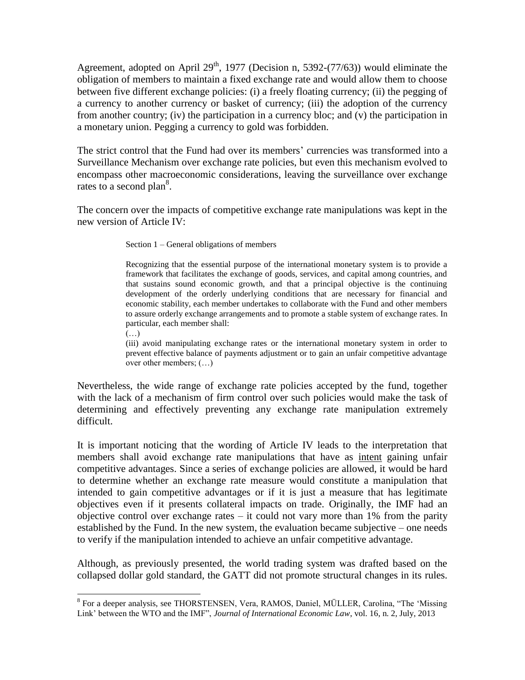Agreement, adopted on April  $29<sup>th</sup>$ , 1977 (Decision n, 5392-(77/63)) would eliminate the obligation of members to maintain a fixed exchange rate and would allow them to choose between five different exchange policies: (i) a freely floating currency; (ii) the pegging of a currency to another currency or basket of currency; (iii) the adoption of the currency from another country; (iv) the participation in a currency bloc; and (v) the participation in a monetary union. Pegging a currency to gold was forbidden.

The strict control that the Fund had over its members' currencies was transformed into a Surveillance Mechanism over exchange rate policies, but even this mechanism evolved to encompass other macroeconomic considerations, leaving the surveillance over exchange rates to a second plan<sup>8</sup>.

The concern over the impacts of competitive exchange rate manipulations was kept in the new version of Article IV:

Section 1 – General obligations of members

Recognizing that the essential purpose of the international monetary system is to provide a framework that facilitates the exchange of goods, services, and capital among countries, and that sustains sound economic growth, and that a principal objective is the continuing development of the orderly underlying conditions that are necessary for financial and economic stability, each member undertakes to collaborate with the Fund and other members to assure orderly exchange arrangements and to promote a stable system of exchange rates. In particular, each member shall:

 $(\ldots)$ 

(iii) avoid manipulating exchange rates or the international monetary system in order to prevent effective balance of payments adjustment or to gain an unfair competitive advantage over other members; (…)

Nevertheless, the wide range of exchange rate policies accepted by the fund, together with the lack of a mechanism of firm control over such policies would make the task of determining and effectively preventing any exchange rate manipulation extremely difficult.

It is important noticing that the wording of Article IV leads to the interpretation that members shall avoid exchange rate manipulations that have as intent gaining unfair competitive advantages. Since a series of exchange policies are allowed, it would be hard to determine whether an exchange rate measure would constitute a manipulation that intended to gain competitive advantages or if it is just a measure that has legitimate objectives even if it presents collateral impacts on trade. Originally, the IMF had an objective control over exchange rates  $-$  it could not vary more than 1% from the parity established by the Fund. In the new system, the evaluation became subjective – one needs to verify if the manipulation intended to achieve an unfair competitive advantage.

Although, as previously presented, the world trading system was drafted based on the collapsed dollar gold standard, the GATT did not promote structural changes in its rules.

<sup>&</sup>lt;sup>8</sup> For a deeper analysis, see THORSTENSEN, Vera, RAMOS, Daniel, MÜLLER, Carolina, "The 'Missing Link' between the WTO and the IMF", *Journal of International Economic Law*, vol. 16, n. 2, July, 2013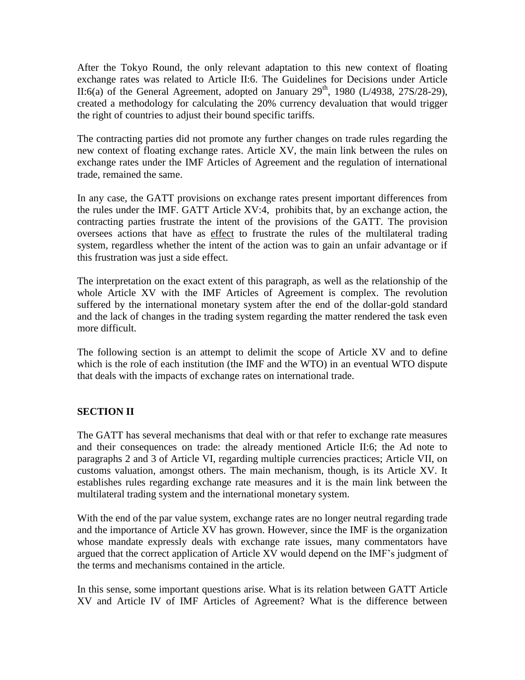After the Tokyo Round, the only relevant adaptation to this new context of floating exchange rates was related to Article II:6. The Guidelines for Decisions under Article II:6(a) of the General Agreement, adopted on January  $29<sup>th</sup>$ , 1980 (L/4938, 27S/28-29), created a methodology for calculating the 20% currency devaluation that would trigger the right of countries to adjust their bound specific tariffs.

The contracting parties did not promote any further changes on trade rules regarding the new context of floating exchange rates. Article XV, the main link between the rules on exchange rates under the IMF Articles of Agreement and the regulation of international trade, remained the same.

In any case, the GATT provisions on exchange rates present important differences from the rules under the IMF. GATT Article XV:4, prohibits that, by an exchange action, the contracting parties frustrate the intent of the provisions of the GATT. The provision oversees actions that have as effect to frustrate the rules of the multilateral trading system, regardless whether the intent of the action was to gain an unfair advantage or if this frustration was just a side effect.

The interpretation on the exact extent of this paragraph, as well as the relationship of the whole Article XV with the IMF Articles of Agreement is complex. The revolution suffered by the international monetary system after the end of the dollar-gold standard and the lack of changes in the trading system regarding the matter rendered the task even more difficult.

The following section is an attempt to delimit the scope of Article XV and to define which is the role of each institution (the IMF and the WTO) in an eventual WTO dispute that deals with the impacts of exchange rates on international trade.

## **SECTION II**

The GATT has several mechanisms that deal with or that refer to exchange rate measures and their consequences on trade: the already mentioned Article II:6; the Ad note to paragraphs 2 and 3 of Article VI, regarding multiple currencies practices; Article VII, on customs valuation, amongst others. The main mechanism, though, is its Article XV. It establishes rules regarding exchange rate measures and it is the main link between the multilateral trading system and the international monetary system.

With the end of the par value system, exchange rates are no longer neutral regarding trade and the importance of Article XV has grown. However, since the IMF is the organization whose mandate expressly deals with exchange rate issues, many commentators have argued that the correct application of Article XV would depend on the IMF's judgment of the terms and mechanisms contained in the article.

In this sense, some important questions arise. What is its relation between GATT Article XV and Article IV of IMF Articles of Agreement? What is the difference between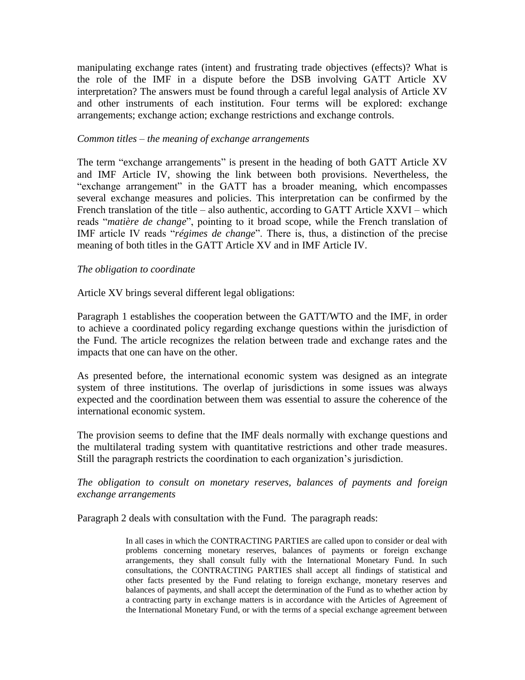manipulating exchange rates (intent) and frustrating trade objectives (effects)? What is the role of the IMF in a dispute before the DSB involving GATT Article XV interpretation? The answers must be found through a careful legal analysis of Article XV and other instruments of each institution. Four terms will be explored: exchange arrangements; exchange action; exchange restrictions and exchange controls.

#### *Common titles – the meaning of exchange arrangements*

The term "exchange arrangements" is present in the heading of both GATT Article XV and IMF Article IV, showing the link between both provisions. Nevertheless, the "exchange arrangement" in the GATT has a broader meaning, which encompasses several exchange measures and policies. This interpretation can be confirmed by the French translation of the title – also authentic, according to GATT Article XXVI – which reads "*matière de change*", pointing to it broad scope, while the French translation of IMF article IV reads "*régimes de change*". There is, thus, a distinction of the precise meaning of both titles in the GATT Article XV and in IMF Article IV.

#### *The obligation to coordinate*

Article XV brings several different legal obligations:

Paragraph 1 establishes the cooperation between the GATT/WTO and the IMF, in order to achieve a coordinated policy regarding exchange questions within the jurisdiction of the Fund. The article recognizes the relation between trade and exchange rates and the impacts that one can have on the other.

As presented before, the international economic system was designed as an integrate system of three institutions. The overlap of jurisdictions in some issues was always expected and the coordination between them was essential to assure the coherence of the international economic system.

The provision seems to define that the IMF deals normally with exchange questions and the multilateral trading system with quantitative restrictions and other trade measures. Still the paragraph restricts the coordination to each organization's jurisdiction.

*The obligation to consult on monetary reserves, balances of payments and foreign exchange arrangements*

Paragraph 2 deals with consultation with the Fund. The paragraph reads:

In all cases in which the CONTRACTING PARTIES are called upon to consider or deal with problems concerning monetary reserves, balances of payments or foreign exchange arrangements, they shall consult fully with the International Monetary Fund. In such consultations, the CONTRACTING PARTIES shall accept all findings of statistical and other facts presented by the Fund relating to foreign exchange, monetary reserves and balances of payments, and shall accept the determination of the Fund as to whether action by a contracting party in exchange matters is in accordance with the Articles of Agreement of the International Monetary Fund, or with the terms of a special exchange agreement between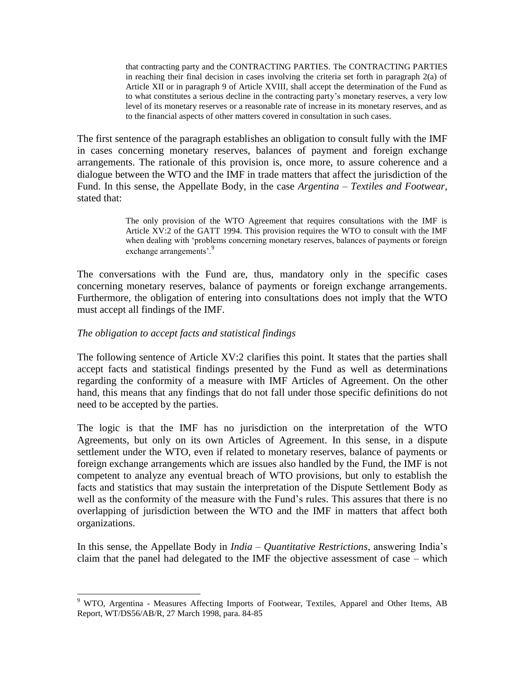that contracting party and the CONTRACTING PARTIES. The CONTRACTING PARTIES in reaching their final decision in cases involving the criteria set forth in paragraph  $2(a)$  of Article XII or in paragraph 9 of Article XVIII, shall accept the determination of the Fund as to what constitutes a serious decline in the contracting party's monetary reserves, a very low level of its monetary reserves or a reasonable rate of increase in its monetary reserves, and as to the financial aspects of other matters covered in consultation in such cases.

The first sentence of the paragraph establishes an obligation to consult fully with the IMF in cases concerning monetary reserves, balances of payment and foreign exchange arrangements. The rationale of this provision is, once more, to assure coherence and a dialogue between the WTO and the IMF in trade matters that affect the jurisdiction of the Fund. In this sense, the Appellate Body, in the case *Argentina – Textiles and Footwear*, stated that:

> The only provision of the WTO Agreement that requires consultations with the IMF is Article XV:2 of the GATT 1994. This provision requires the WTO to consult with the IMF when dealing with 'problems concerning monetary reserves, balances of payments or foreign exchange arrangements'.<sup>9</sup>

The conversations with the Fund are, thus, mandatory only in the specific cases concerning monetary reserves, balance of payments or foreign exchange arrangements. Furthermore, the obligation of entering into consultations does not imply that the WTO must accept all findings of the IMF.

## *The obligation to accept facts and statistical findings*

The following sentence of Article XV:2 clarifies this point. It states that the parties shall accept facts and statistical findings presented by the Fund as well as determinations regarding the conformity of a measure with IMF Articles of Agreement. On the other hand, this means that any findings that do not fall under those specific definitions do not need to be accepted by the parties.

The logic is that the IMF has no jurisdiction on the interpretation of the WTO Agreements, but only on its own Articles of Agreement. In this sense, in a dispute settlement under the WTO, even if related to monetary reserves, balance of payments or foreign exchange arrangements which are issues also handled by the Fund, the IMF is not competent to analyze any eventual breach of WTO provisions, but only to establish the facts and statistics that may sustain the interpretation of the Dispute Settlement Body as well as the conformity of the measure with the Fund's rules. This assures that there is no overlapping of jurisdiction between the WTO and the IMF in matters that affect both organizations.

In this sense, the Appellate Body in *India – Quantitative Restrictions*, answering India's claim that the panel had delegated to the IMF the objective assessment of case – which

l <sup>9</sup> WTO, Argentina - Measures Affecting Imports of Footwear, Textiles, Apparel and Other Items, AB Report, WT/DS56/AB/R, 27 March 1998, para. 84-85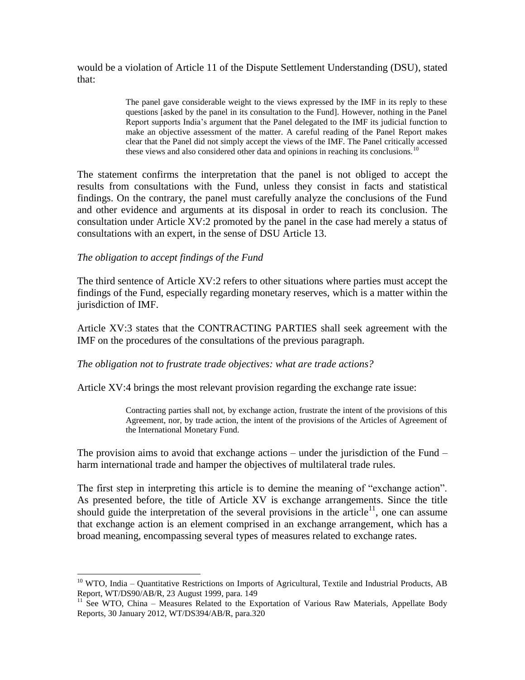would be a violation of Article 11 of the Dispute Settlement Understanding (DSU), stated that:

> The panel gave considerable weight to the views expressed by the IMF in its reply to these questions [asked by the panel in its consultation to the Fund]. However, nothing in the Panel Report supports India's argument that the Panel delegated to the IMF its judicial function to make an objective assessment of the matter. A careful reading of the Panel Report makes clear that the Panel did not simply accept the views of the IMF. The Panel critically accessed these views and also considered other data and opinions in reaching its conclusions.<sup>10</sup>

The statement confirms the interpretation that the panel is not obliged to accept the results from consultations with the Fund, unless they consist in facts and statistical findings. On the contrary, the panel must carefully analyze the conclusions of the Fund and other evidence and arguments at its disposal in order to reach its conclusion. The consultation under Article XV:2 promoted by the panel in the case had merely a status of consultations with an expert, in the sense of DSU Article 13.

#### *The obligation to accept findings of the Fund*

 $\overline{\phantom{a}}$ 

The third sentence of Article XV:2 refers to other situations where parties must accept the findings of the Fund, especially regarding monetary reserves, which is a matter within the jurisdiction of IMF.

Article XV:3 states that the CONTRACTING PARTIES shall seek agreement with the IMF on the procedures of the consultations of the previous paragraph.

#### *The obligation not to frustrate trade objectives: what are trade actions?*

Article XV:4 brings the most relevant provision regarding the exchange rate issue:

Contracting parties shall not, by exchange action, frustrate the intent of the provisions of this Agreement, nor, by trade action, the intent of the provisions of the Articles of Agreement of the International Monetary Fund.

The provision aims to avoid that exchange actions – under the jurisdiction of the Fund – harm international trade and hamper the objectives of multilateral trade rules.

The first step in interpreting this article is to demine the meaning of "exchange action". As presented before, the title of Article XV is exchange arrangements. Since the title should guide the interpretation of the several provisions in the article<sup>11</sup>, one can assume that exchange action is an element comprised in an exchange arrangement, which has a broad meaning, encompassing several types of measures related to exchange rates.

<sup>&</sup>lt;sup>10</sup> WTO, India – Quantitative Restrictions on Imports of Agricultural, Textile and Industrial Products, AB Report, WT/DS90/AB/R, 23 August 1999, para. 149

<sup>&</sup>lt;sup>11</sup> See WTO, China – Measures Related to the Exportation of Various Raw Materials, Appellate Body Reports, 30 January 2012, WT/DS394/AB/R, para.320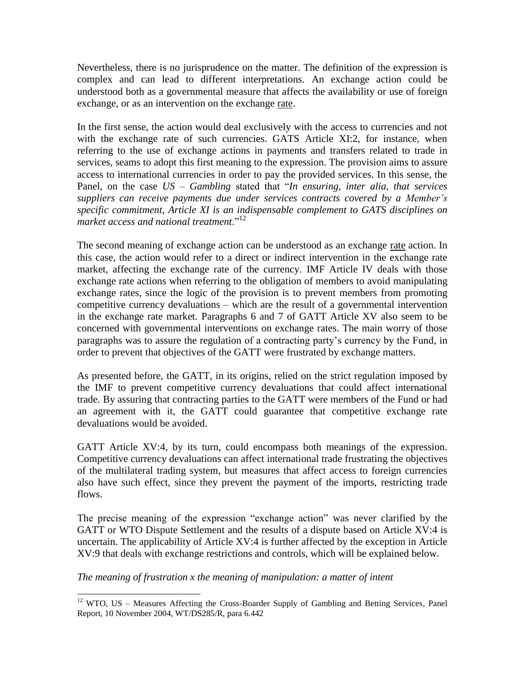Nevertheless, there is no jurisprudence on the matter. The definition of the expression is complex and can lead to different interpretations. An exchange action could be understood both as a governmental measure that affects the availability or use of foreign exchange, or as an intervention on the exchange rate.

In the first sense, the action would deal exclusively with the access to currencies and not with the exchange rate of such currencies. GATS Article XI:2, for instance, when referring to the use of exchange actions in payments and transfers related to trade in services, seams to adopt this first meaning to the expression. The provision aims to assure access to international currencies in order to pay the provided services. In this sense, the Panel, on the case *US – Gambling* stated that "*In ensuring, inter alia, that services suppliers can receive payments due under services contracts covered by a Member's specific commitment, Article XI is an indispensable complement to GATS disciplines on market access and national treatment*."<sup>12</sup>

The second meaning of exchange action can be understood as an exchange rate action. In this case, the action would refer to a direct or indirect intervention in the exchange rate market, affecting the exchange rate of the currency. IMF Article IV deals with those exchange rate actions when referring to the obligation of members to avoid manipulating exchange rates, since the logic of the provision is to prevent members from promoting competitive currency devaluations – which are the result of a governmental intervention in the exchange rate market. Paragraphs 6 and 7 of GATT Article XV also seem to be concerned with governmental interventions on exchange rates. The main worry of those paragraphs was to assure the regulation of a contracting party's currency by the Fund, in order to prevent that objectives of the GATT were frustrated by exchange matters.

As presented before, the GATT, in its origins, relied on the strict regulation imposed by the IMF to prevent competitive currency devaluations that could affect international trade. By assuring that contracting parties to the GATT were members of the Fund or had an agreement with it, the GATT could guarantee that competitive exchange rate devaluations would be avoided.

GATT Article XV:4, by its turn, could encompass both meanings of the expression. Competitive currency devaluations can affect international trade frustrating the objectives of the multilateral trading system, but measures that affect access to foreign currencies also have such effect, since they prevent the payment of the imports, restricting trade flows.

The precise meaning of the expression "exchange action" was never clarified by the GATT or WTO Dispute Settlement and the results of a dispute based on Article XV:4 is uncertain. The applicability of Article XV:4 is further affected by the exception in Article XV:9 that deals with exchange restrictions and controls, which will be explained below.

*The meaning of frustration x the meaning of manipulation: a matter of intent*

l  $12$  WTO, US – Measures Affecting the Cross-Boarder Supply of Gambling and Betting Services, Panel Report, 10 November 2004, WT/DS285/R, para 6.442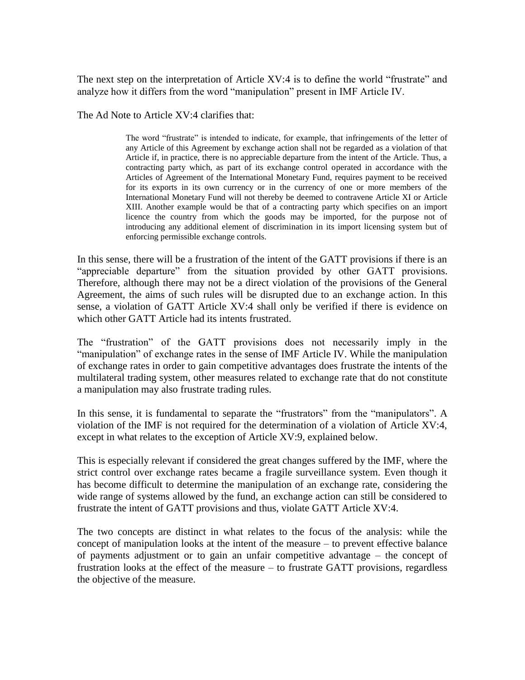The next step on the interpretation of Article XV:4 is to define the world "frustrate" and analyze how it differs from the word "manipulation" present in IMF Article IV.

The Ad Note to Article XV:4 clarifies that:

The word "frustrate" is intended to indicate, for example, that infringements of the letter of any Article of this Agreement by exchange action shall not be regarded as a violation of that Article if, in practice, there is no appreciable departure from the intent of the Article. Thus, a contracting party which, as part of its exchange control operated in accordance with the Articles of Agreement of the International Monetary Fund, requires payment to be received for its exports in its own currency or in the currency of one or more members of the International Monetary Fund will not thereby be deemed to contravene Article XI or Article XIII. Another example would be that of a contracting party which specifies on an import licence the country from which the goods may be imported, for the purpose not of introducing any additional element of discrimination in its import licensing system but of enforcing permissible exchange controls.

In this sense, there will be a frustration of the intent of the GATT provisions if there is an "appreciable departure" from the situation provided by other GATT provisions. Therefore, although there may not be a direct violation of the provisions of the General Agreement, the aims of such rules will be disrupted due to an exchange action. In this sense, a violation of GATT Article XV:4 shall only be verified if there is evidence on which other GATT Article had its intents frustrated.

The "frustration" of the GATT provisions does not necessarily imply in the "manipulation" of exchange rates in the sense of IMF Article IV. While the manipulation of exchange rates in order to gain competitive advantages does frustrate the intents of the multilateral trading system, other measures related to exchange rate that do not constitute a manipulation may also frustrate trading rules.

In this sense, it is fundamental to separate the "frustrators" from the "manipulators". A violation of the IMF is not required for the determination of a violation of Article XV:4, except in what relates to the exception of Article XV:9, explained below.

This is especially relevant if considered the great changes suffered by the IMF, where the strict control over exchange rates became a fragile surveillance system. Even though it has become difficult to determine the manipulation of an exchange rate, considering the wide range of systems allowed by the fund, an exchange action can still be considered to frustrate the intent of GATT provisions and thus, violate GATT Article XV:4.

The two concepts are distinct in what relates to the focus of the analysis: while the concept of manipulation looks at the intent of the measure – to prevent effective balance of payments adjustment or to gain an unfair competitive advantage – the concept of frustration looks at the effect of the measure – to frustrate GATT provisions, regardless the objective of the measure.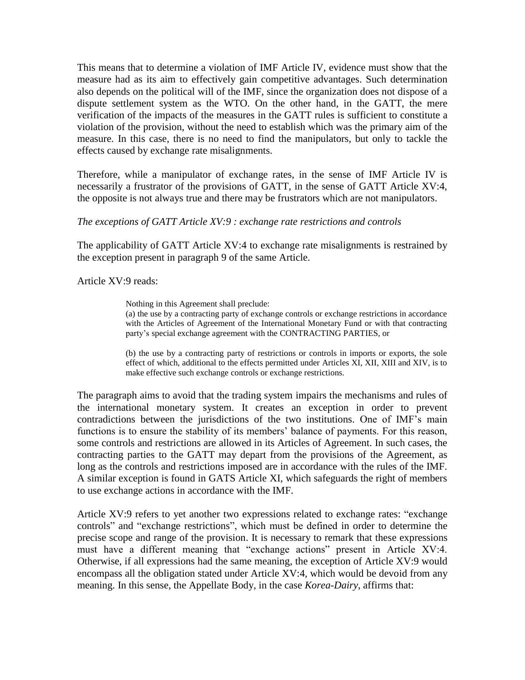This means that to determine a violation of IMF Article IV, evidence must show that the measure had as its aim to effectively gain competitive advantages. Such determination also depends on the political will of the IMF, since the organization does not dispose of a dispute settlement system as the WTO. On the other hand, in the GATT, the mere verification of the impacts of the measures in the GATT rules is sufficient to constitute a violation of the provision, without the need to establish which was the primary aim of the measure. In this case, there is no need to find the manipulators, but only to tackle the effects caused by exchange rate misalignments.

Therefore, while a manipulator of exchange rates, in the sense of IMF Article IV is necessarily a frustrator of the provisions of GATT, in the sense of GATT Article XV:4, the opposite is not always true and there may be frustrators which are not manipulators.

## *The exceptions of GATT Article XV:9 : exchange rate restrictions and controls*

The applicability of GATT Article XV:4 to exchange rate misalignments is restrained by the exception present in paragraph 9 of the same Article.

Article XV:9 reads:

Nothing in this Agreement shall preclude:

(a) the use by a contracting party of exchange controls or exchange restrictions in accordance with the Articles of Agreement of the International Monetary Fund or with that contracting party's special exchange agreement with the CONTRACTING PARTIES, or

(b) the use by a contracting party of restrictions or controls in imports or exports, the sole effect of which, additional to the effects permitted under Articles XI, XII, XIII and XIV, is to make effective such exchange controls or exchange restrictions.

The paragraph aims to avoid that the trading system impairs the mechanisms and rules of the international monetary system. It creates an exception in order to prevent contradictions between the jurisdictions of the two institutions. One of IMF's main functions is to ensure the stability of its members' balance of payments. For this reason, some controls and restrictions are allowed in its Articles of Agreement. In such cases, the contracting parties to the GATT may depart from the provisions of the Agreement, as long as the controls and restrictions imposed are in accordance with the rules of the IMF. A similar exception is found in GATS Article XI, which safeguards the right of members to use exchange actions in accordance with the IMF.

Article XV:9 refers to yet another two expressions related to exchange rates: "exchange controls" and "exchange restrictions", which must be defined in order to determine the precise scope and range of the provision. It is necessary to remark that these expressions must have a different meaning that "exchange actions" present in Article XV:4. Otherwise, if all expressions had the same meaning, the exception of Article XV:9 would encompass all the obligation stated under Article XV:4, which would be devoid from any meaning. In this sense, the Appellate Body, in the case *Korea-Dairy*, affirms that: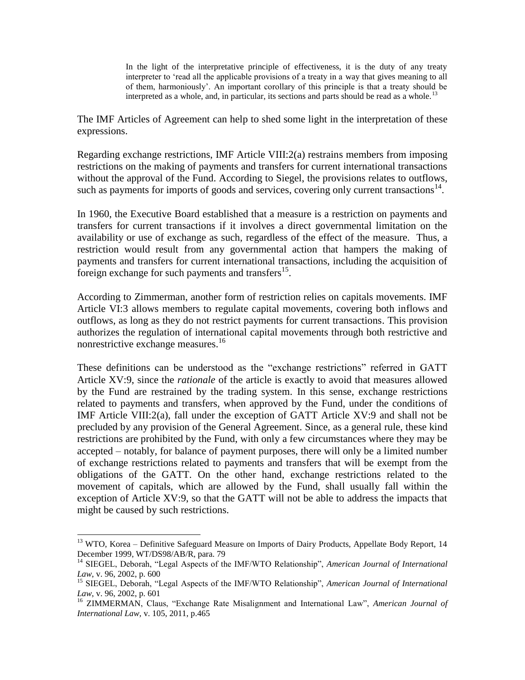In the light of the interpretative principle of effectiveness, it is the duty of any treaty interpreter to 'read all the applicable provisions of a treaty in a way that gives meaning to all of them, harmoniously'. An important corollary of this principle is that a treaty should be interpreted as a whole, and, in particular, its sections and parts should be read as a whole.<sup>13</sup>

The IMF Articles of Agreement can help to shed some light in the interpretation of these expressions.

Regarding exchange restrictions, IMF Article VIII:2(a) restrains members from imposing restrictions on the making of payments and transfers for current international transactions without the approval of the Fund. According to Siegel, the provisions relates to outflows, such as payments for imports of goods and services, covering only current transactions<sup>14</sup>.

In 1960, the Executive Board established that a measure is a restriction on payments and transfers for current transactions if it involves a direct governmental limitation on the availability or use of exchange as such, regardless of the effect of the measure. Thus, a restriction would result from any governmental action that hampers the making of payments and transfers for current international transactions, including the acquisition of foreign exchange for such payments and transfers $^{15}$ .

According to Zimmerman, another form of restriction relies on capitals movements. IMF Article VI:3 allows members to regulate capital movements, covering both inflows and outflows, as long as they do not restrict payments for current transactions. This provision authorizes the regulation of international capital movements through both restrictive and nonrestrictive exchange measures.<sup>16</sup>

These definitions can be understood as the "exchange restrictions" referred in GATT Article XV:9, since the *rationale* of the article is exactly to avoid that measures allowed by the Fund are restrained by the trading system. In this sense, exchange restrictions related to payments and transfers, when approved by the Fund, under the conditions of IMF Article VIII:2(a), fall under the exception of GATT Article XV:9 and shall not be precluded by any provision of the General Agreement. Since, as a general rule, these kind restrictions are prohibited by the Fund, with only a few circumstances where they may be accepted – notably, for balance of payment purposes, there will only be a limited number of exchange restrictions related to payments and transfers that will be exempt from the obligations of the GATT. On the other hand, exchange restrictions related to the movement of capitals, which are allowed by the Fund, shall usually fall within the exception of Article XV:9, so that the GATT will not be able to address the impacts that might be caused by such restrictions.

l <sup>13</sup> WTO, Korea – Definitive Safeguard Measure on Imports of Dairy Products, Appellate Body Report, 14 December 1999, WT/DS98/AB/R, para. 79

<sup>14</sup> SIEGEL, Deborah, "Legal Aspects of the IMF/WTO Relationship", *American Journal of International Law*, v. 96, 2002, p. 600

<sup>15</sup> SIEGEL, Deborah, "Legal Aspects of the IMF/WTO Relationship", *American Journal of International Law*, v. 96, 2002, p. 601

<sup>16</sup> ZIMMERMAN, Claus, "Exchange Rate Misalignment and International Law", *American Journal of International Law,* v. 105, 2011, p.465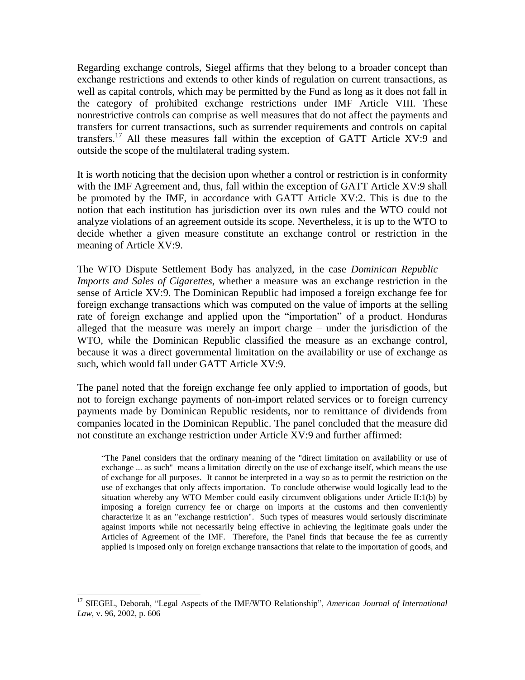Regarding exchange controls, Siegel affirms that they belong to a broader concept than exchange restrictions and extends to other kinds of regulation on current transactions, as well as capital controls, which may be permitted by the Fund as long as it does not fall in the category of prohibited exchange restrictions under IMF Article VIII. These nonrestrictive controls can comprise as well measures that do not affect the payments and transfers for current transactions, such as surrender requirements and controls on capital transfers.<sup>17</sup> All these measures fall within the exception of GATT Article XV:9 and outside the scope of the multilateral trading system.

It is worth noticing that the decision upon whether a control or restriction is in conformity with the IMF Agreement and, thus, fall within the exception of GATT Article XV:9 shall be promoted by the IMF, in accordance with GATT Article XV:2. This is due to the notion that each institution has jurisdiction over its own rules and the WTO could not analyze violations of an agreement outside its scope. Nevertheless, it is up to the WTO to decide whether a given measure constitute an exchange control or restriction in the meaning of Article XV:9.

The WTO Dispute Settlement Body has analyzed, in the case *Dominican Republic – Imports and Sales of Cigarettes*, whether a measure was an exchange restriction in the sense of Article XV:9. The Dominican Republic had imposed a foreign exchange fee for foreign exchange transactions which was computed on the value of imports at the selling rate of foreign exchange and applied upon the "importation" of a product. Honduras alleged that the measure was merely an import charge – under the jurisdiction of the WTO, while the Dominican Republic classified the measure as an exchange control, because it was a direct governmental limitation on the availability or use of exchange as such, which would fall under GATT Article XV:9.

The panel noted that the foreign exchange fee only applied to importation of goods, but not to foreign exchange payments of non-import related services or to foreign currency payments made by Dominican Republic residents, nor to remittance of dividends from companies located in the Dominican Republic. The panel concluded that the measure did not constitute an exchange restriction under Article XV:9 and further affirmed:

"The Panel considers that the ordinary meaning of the "direct limitation on availability or use of exchange ... as such" means a limitation directly on the use of exchange itself, which means the use of exchange for all purposes. It cannot be interpreted in a way so as to permit the restriction on the use of exchanges that only affects importation. To conclude otherwise would logically lead to the situation whereby any WTO Member could easily circumvent obligations under Article II:1(b) by imposing a foreign currency fee or charge on imports at the customs and then conveniently characterize it as an "exchange restriction". Such types of measures would seriously discriminate against imports while not necessarily being effective in achieving the legitimate goals under the Articles of Agreement of the IMF. Therefore, the Panel finds that because the fee as currently applied is imposed only on foreign exchange transactions that relate to the importation of goods, and

l

<sup>17</sup> SIEGEL, Deborah, "Legal Aspects of the IMF/WTO Relationship", *American Journal of International Law*, v. 96, 2002, p. 606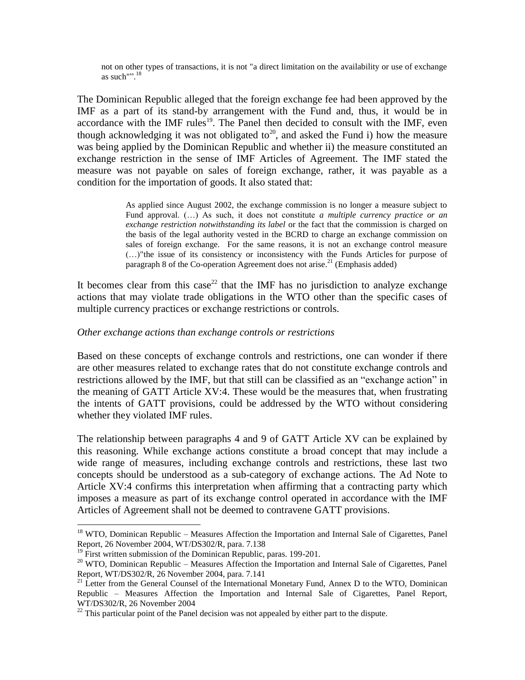not on other types of transactions, it is not "a direct limitation on the availability or use of exchange as such"". 18

The Dominican Republic alleged that the foreign exchange fee had been approved by the IMF as a part of its stand-by arrangement with the Fund and, thus, it would be in accordance with the IMF rules<sup>19</sup>. The Panel then decided to consult with the IMF, even though acknowledging it was not obligated to<sup>20</sup>, and asked the Fund i) how the measure was being applied by the Dominican Republic and whether ii) the measure constituted an exchange restriction in the sense of IMF Articles of Agreement. The IMF stated the measure was not payable on sales of foreign exchange, rather, it was payable as a condition for the importation of goods. It also stated that:

> As applied since August 2002, the exchange commission is no longer a measure subject to Fund approval. (…) As such, it does not constitute *a multiple currency practice or an exchange restriction notwithstanding its label* or the fact that the commission is charged on the basis of the legal authority vested in the BCRD to charge an exchange commission on sales of foreign exchange. For the same reasons, it is not an exchange control measure (…)"the issue of its consistency or inconsistency with the Funds Articles for purpose of paragraph 8 of the Co-operation Agreement does not arise.<sup>21</sup> (Emphasis added)

It becomes clear from this case<sup>22</sup> that the IMF has no jurisdiction to analyze exchange actions that may violate trade obligations in the WTO other than the specific cases of multiple currency practices or exchange restrictions or controls.

#### *Other exchange actions than exchange controls or restrictions*

Based on these concepts of exchange controls and restrictions, one can wonder if there are other measures related to exchange rates that do not constitute exchange controls and restrictions allowed by the IMF, but that still can be classified as an "exchange action" in the meaning of GATT Article XV:4. These would be the measures that, when frustrating the intents of GATT provisions, could be addressed by the WTO without considering whether they violated IMF rules.

The relationship between paragraphs 4 and 9 of GATT Article XV can be explained by this reasoning. While exchange actions constitute a broad concept that may include a wide range of measures, including exchange controls and restrictions, these last two concepts should be understood as a sub-category of exchange actions. The Ad Note to Article XV:4 confirms this interpretation when affirming that a contracting party which imposes a measure as part of its exchange control operated in accordance with the IMF Articles of Agreement shall not be deemed to contravene GATT provisions.

l

<sup>&</sup>lt;sup>18</sup> WTO, Dominican Republic – Measures Affection the Importation and Internal Sale of Cigarettes, Panel Report, 26 November 2004, WT/DS302/R, para. 7.138

 $19$  First written submission of the Dominican Republic, paras. 199-201.

 $20$  WTO, Dominican Republic – Measures Affection the Importation and Internal Sale of Cigarettes, Panel Report, WT/DS302/R, 26 November 2004, para. 7.141

<sup>&</sup>lt;sup>21</sup> Letter from the General Counsel of the International Monetary Fund, Annex D to the WTO, Dominican Republic – Measures Affection the Importation and Internal Sale of Cigarettes, Panel Report, WT/DS302/R, 26 November 2004

 $22$  This particular point of the Panel decision was not appealed by either part to the dispute.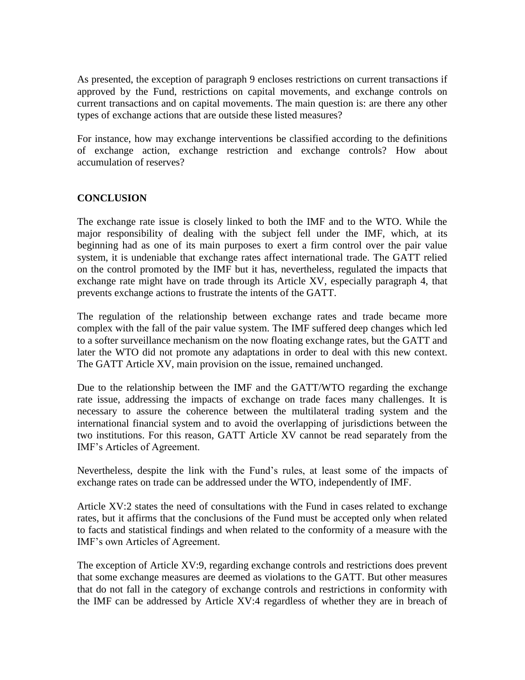As presented, the exception of paragraph 9 encloses restrictions on current transactions if approved by the Fund, restrictions on capital movements, and exchange controls on current transactions and on capital movements. The main question is: are there any other types of exchange actions that are outside these listed measures?

For instance, how may exchange interventions be classified according to the definitions of exchange action, exchange restriction and exchange controls? How about accumulation of reserves?

## **CONCLUSION**

The exchange rate issue is closely linked to both the IMF and to the WTO. While the major responsibility of dealing with the subject fell under the IMF, which, at its beginning had as one of its main purposes to exert a firm control over the pair value system, it is undeniable that exchange rates affect international trade. The GATT relied on the control promoted by the IMF but it has, nevertheless, regulated the impacts that exchange rate might have on trade through its Article XV, especially paragraph 4, that prevents exchange actions to frustrate the intents of the GATT.

The regulation of the relationship between exchange rates and trade became more complex with the fall of the pair value system. The IMF suffered deep changes which led to a softer surveillance mechanism on the now floating exchange rates, but the GATT and later the WTO did not promote any adaptations in order to deal with this new context. The GATT Article XV, main provision on the issue, remained unchanged.

Due to the relationship between the IMF and the GATT/WTO regarding the exchange rate issue, addressing the impacts of exchange on trade faces many challenges. It is necessary to assure the coherence between the multilateral trading system and the international financial system and to avoid the overlapping of jurisdictions between the two institutions. For this reason, GATT Article XV cannot be read separately from the IMF's Articles of Agreement.

Nevertheless, despite the link with the Fund's rules, at least some of the impacts of exchange rates on trade can be addressed under the WTO, independently of IMF.

Article XV:2 states the need of consultations with the Fund in cases related to exchange rates, but it affirms that the conclusions of the Fund must be accepted only when related to facts and statistical findings and when related to the conformity of a measure with the IMF's own Articles of Agreement.

The exception of Article XV:9, regarding exchange controls and restrictions does prevent that some exchange measures are deemed as violations to the GATT. But other measures that do not fall in the category of exchange controls and restrictions in conformity with the IMF can be addressed by Article XV:4 regardless of whether they are in breach of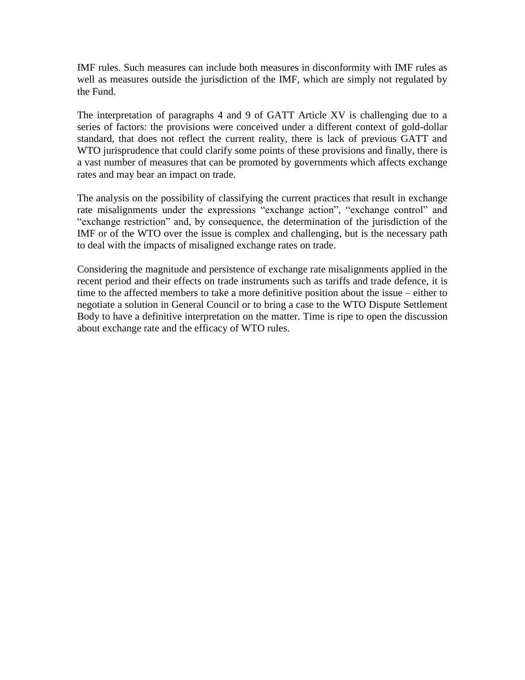IMF rules. Such measures can include both measures in disconformity with IMF rules as well as measures outside the jurisdiction of the IMF, which are simply not regulated by the Fund.

The interpretation of paragraphs 4 and 9 of GATT Article XV is challenging due to a series of factors: the provisions were conceived under a different context of gold-dollar standard, that does not reflect the current reality, there is lack of previous GATT and WTO jurisprudence that could clarify some points of these provisions and finally, there is a vast number of measures that can be promoted by governments which affects exchange rates and may bear an impact on trade.

The analysis on the possibility of classifying the current practices that result in exchange rate misalignments under the expressions "exchange action", "exchange control" and "exchange restriction" and, by consequence, the determination of the jurisdiction of the IMF or of the WTO over the issue is complex and challenging, but is the necessary path to deal with the impacts of misaligned exchange rates on trade.

Considering the magnitude and persistence of exchange rate misalignments applied in the recent period and their effects on trade instruments such as tariffs and trade defence, it is time to the affected members to take a more definitive position about the issue – either to negotiate a solution in General Council or to bring a case to the WTO Dispute Settlement Body to have a definitive interpretation on the matter. Time is ripe to open the discussion about exchange rate and the efficacy of WTO rules.